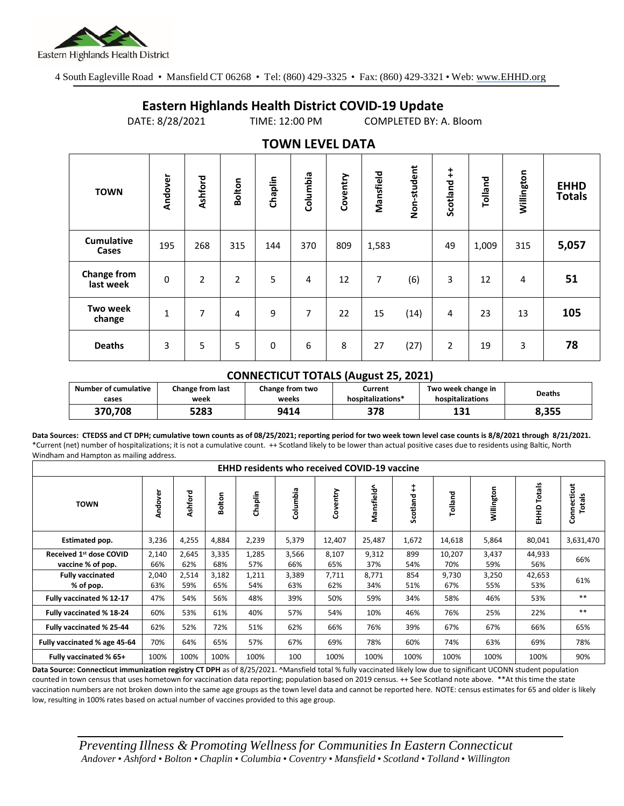

4 South Eagleville Road • Mansfield CT 06268 • Tel: (860) 429-3325 • Fax: (860) 429-3321 • Web: www.EHHD.org

## **Eastern Highlands Health District COVID-19 Update**

DATE: 8/28/2021 TIME: 12:00 PM COMPLETED BY: A. Bloom

| . <i>.</i> .                    |              |                |                |         |          |          |           |             |                |         |            |                              |
|---------------------------------|--------------|----------------|----------------|---------|----------|----------|-----------|-------------|----------------|---------|------------|------------------------------|
| <b>TOWN</b>                     | Andover      | Ashford        | <b>Bolton</b>  | Chaplin | Columbia | Coventry | Mansfield | Non-student | ŧ<br>Scotland  | Tolland | Willington | <b>EHHD</b><br><b>Totals</b> |
| <b>Cumulative</b><br>Cases      | 195          | 268            | 315            | 144     | 370      | 809      | 1,583     |             | 49             | 1,009   | 315        | 5,057                        |
| <b>Change from</b><br>last week | $\pmb{0}$    | $\overline{2}$ | $\overline{2}$ | 5       | 4        | 12       | 7         | (6)         | 3              | 12      | 4          | 51                           |
| <b>Two week</b><br>change       | $\mathbf{1}$ | 7              | 4              | 9       | 7        | 22       | 15        | (14)        | 4              | 23      | 13         | 105                          |
| <b>Deaths</b>                   | 3            | 5              | 5              | 0       | 6        | 8        | 27        | (27)        | $\overline{2}$ | 19      | 3          | 78                           |

## **TOWN LEVEL DATA**

## **CONNECTICUT TOTALS (August 25, 2021)**

| Number of cumulative | <b>Change from last</b> | Change from two | Current           | Two week change in | <b>Deaths</b> |  |
|----------------------|-------------------------|-----------------|-------------------|--------------------|---------------|--|
| cases                | week                    | weeks           | hospitalizations* | hospitalizations   |               |  |
| 370.708              | 5283                    | 9414            | 378               | 191<br>∸⊐          | 8,355         |  |

**Data Sources: CTEDSS and CT DPH; cumulative town counts as of 08/25/2021; reporting period for two week town level case counts is 8/8/2021 through 8/21/2021.** \*Current (net) number of hospitalizations; it is not a cumulative count. ++ Scotland likely to be lower than actual positive cases due to residents using Baltic, North Windham and Hampton as mailing address.

| <b>EHHD residents who received COVID-19 vaccine</b>      |              |              |              |              |              |              |              |               |               |              |                  |                       |
|----------------------------------------------------------|--------------|--------------|--------------|--------------|--------------|--------------|--------------|---------------|---------------|--------------|------------------|-----------------------|
| <b>TOWN</b>                                              | Andover      | Ashford      | olton        | Chaplin      | Columbia     | Coventry     | Mansfield^   | ŧ<br>Scotland | Tolland       | Willington   | Totals<br>요<br>표 | Connecticut<br>Totals |
| Estimated pop.                                           | 3,236        | 4,255        | 4,884        | 2,239        | 5,379        | 12,407       | 25,487       | 1,672         | 14,618        | 5,864        | 80,041           | 3,631,470             |
| Received 1 <sup>st</sup> dose COVID<br>vaccine % of pop. | 2,140<br>66% | 2,645<br>62% | 3,335<br>68% | 1,285<br>57% | 3,566<br>66% | 8,107<br>65% | 9,312<br>37% | 899<br>54%    | 10,207<br>70% | 3,437<br>59% | 44,933<br>56%    | 66%                   |
| <b>Fully vaccinated</b><br>% of pop.                     | 2,040<br>63% | 2,514<br>59% | 3,182<br>65% | 1,211<br>54% | 3,389<br>63% | 7,711<br>62% | 8,771<br>34% | 854<br>51%    | 9,730<br>67%  | 3,250<br>55% | 42,653<br>53%    | 61%                   |
| Fully vaccinated % 12-17                                 | 47%          | 54%          | 56%          | 48%          | 39%          | 50%          | 59%          | 34%           | 58%           | 46%          | 53%              | $***$                 |
| Fully vaccinated % 18-24                                 | 60%          | 53%          | 61%          | 40%          | 57%          | 54%          | 10%          | 46%           | 76%           | 25%          | 22%              | $***$                 |
| Fully vaccinated % 25-44                                 | 62%          | 52%          | 72%          | 51%          | 62%          | 66%          | 76%          | 39%           | 67%           | 67%          | 66%              | 65%                   |
| Fully vaccinated % age 45-64                             | 70%          | 64%          | 65%          | 57%          | 67%          | 69%          | 78%          | 60%           | 74%           | 63%          | 69%              | 78%                   |
| Fully vaccinated % 65+                                   | 100%         | 100%         | 100%         | 100%         | 100          | 100%         | 100%         | 100%          | 100%          | 100%         | 100%             | 90%                   |

Data Source: Connecticut immunization registry CT DPH as of 8/25/2021. <sup>A</sup>Mansfield total % fully vaccinated likely low due to significant UCONN student population counted in town census that uses hometown for vaccination data reporting; population based on 2019 census. ++ See Scotland note above. \*\*At this time the state vaccination numbers are not broken down into the same age groups as the town level data and cannot be reported here. NOTE: census estimates for 65 and older is likely low, resulting in 100% rates based on actual number of vaccines provided to this age group.

*Preventing Illness & Promoting Wellnessfor Communities In Eastern Connecticut* Andover . Ashford . Bolton . Chaplin . Columbia . Coventry . Mansfield . Scotland . Tolland . Willington